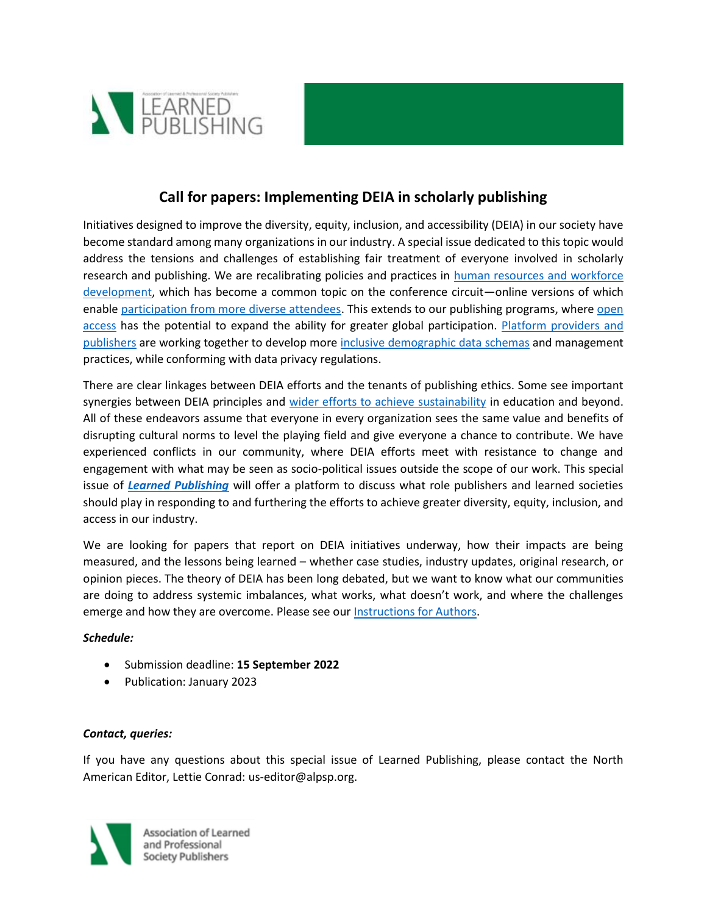

## **Call for papers: Implementing DEIA in scholarly publishing**

Initiatives designed to improve the diversity, equity, inclusion, and accessibility (DEIA) in our society have become standard among many organizations in our industry. A special issue dedicated to this topic would address the tensions and challenges of establishing fair treatment of everyone involved in scholarly research and publishing. We are recalibrating policies and practices in [human resources and workforce](https://scholarlykitchen.sspnet.org/2021/11/30/community-reflections-takeaways-from-the-diversity-sessions-at-ssps-43rd-annual-meeting-part-2/)  [development,](https://scholarlykitchen.sspnet.org/2021/11/30/community-reflections-takeaways-from-the-diversity-sessions-at-ssps-43rd-annual-meeting-part-2/) which has become a common topic on the conference circuit—online versions of which enable [participation from more diverse attendees.](https://c4disc.org/2022/01/27/can-virtual-academic-conferences-make-stem-fields-more-inclusive/) This extends to our publishing programs, where [open](https://blog.scholasticahq.com/post/how-we-open-knowledge-series/)  [access](https://blog.scholasticahq.com/post/how-we-open-knowledge-series/) has the potential to expand the ability for greater global participation. [Platform providers and](https://vimeo.com/atypon/review/654473970/1fbb343527)  [publishers](https://vimeo.com/atypon/review/654473970/1fbb343527) are working together to develop more [inclusive demographic data schemas](https://www.rsc.org/new-perspectives/talent/joint-commitment-for-action-inclusion-and-diversity-in-publishing/) and management practices, while conforming with data privacy regulations.

There are clear linkages between DEIA efforts and the tenants of publishing ethics. Some see important synergies between DEIA principles and [wider efforts to achieve sustainability](https://www.internationalpublishers.org/blog/entry/partnerships-to-achieve-the-sustainable-development-goals) in education and beyond. All of these endeavors assume that everyone in every organization sees the same value and benefits of disrupting cultural norms to level the playing field and give everyone a chance to contribute. We have experienced conflicts in our community, where DEIA efforts meet with resistance to change and engagement with what may be seen as socio-political issues outside the scope of our work. This special issue of *[Learned Publishing](https://onlinelibrary.wiley.com/journal/17414857/)* will offer a platform to discuss what role publishers and learned societies should play in responding to and furthering the efforts to achieve greater diversity, equity, inclusion, and access in our industry.

We are looking for papers that report on DEIA initiatives underway, how their impacts are being measured, and the lessons being learned – whether case studies, industry updates, original research, or opinion pieces. The theory of DEIA has been long debated, but we want to know what our communities are doing to address systemic imbalances, what works, what doesn't work, and where the challenges emerge and how they are overcome. Please see ou[r Instructions for Authors.](https://onlinelibrary.wiley.com/page/journal/17414857/homepage/forauthors.html)

## *Schedule:*

- Submission deadline: **15 September 2022**
- Publication: January 2023

## *Contact, queries:*

If you have any questions about this special issue of Learned Publishing, please contact the North American Editor, Lettie Conrad: us-editor@alpsp.org.